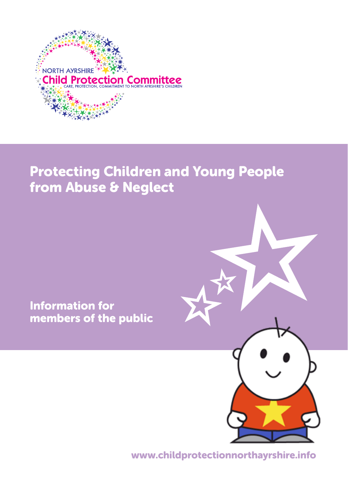

### Protecting Children and Young People from Abuse & Neglect

Information for members of the public



www.childprotectionnorthayrshire.info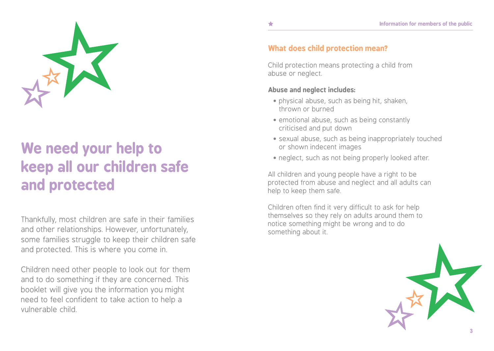

## **We need your help to keep all our children safe and protected**

Thankfully, most children are safe in their families and other relationships. However, unfortunately, some families struggle to keep their children safe and protected. This is where you come in.

Children need other people to look out for them and to do something if they are concerned. This booklet will give you the information you might need to feel confident to take action to help a vulnerable child.

### **What does child protection mean?**

Child protection means protecting a child from abuse or neglect.

### **Abuse and neglect includes:**

- physical abuse, such as being hit, shaken, thrown or burned
- emotional abuse, such as being constantly criticised and put down
- sexual abuse, such as being inappropriately touched or shown indecent images
- neglect, such as not being properly looked after.

All children and young people have a right to be protected from abuse and neglect and all adults can help to keep them safe.

Children often find it very difficult to ask for help themselves so they rely on adults around them to notice something might be wrong and to do something about it.

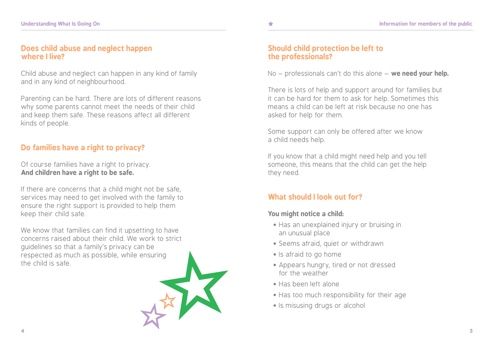### **Does child abuse and neglect happen where I live?**

Child abuse and neglect can happen in any kind of family and in any kind of neighbourhood.

Parenting can be hard. There are lots of different reasons why some parents cannot meet the needs of their child and keep them safe. These reasons affect all different kinds of people.

### **Do families have a right to privacy?**

Of course families have a right to privacy. **And children have a right to be safe.**

If there are concerns that a child might not be safe, services may need to get involved with the family to ensure the right support is provided to help them keep their child safe.

We know that families can find it upsetting to have concerns raised about their child. We work to strict guidelines so that a family's privacy can be respected as much as possible, while ensuring the child is safe.



### **Should child protection be left to the professionals?**

No – professionals can't do this alone – **we need your help.**

There is lots of help and support around for families but it can be hard for them to ask for help. Sometimes this means a child can be left at risk because no one has asked for help for them.

Some support can only be offered after we know a child needs help.

If you know that a child might need help and you tell someone, this means that the child can get the help they need.

### **What should I look out for?**

### **You might notice a child:**

- Has an unexplained injury or bruising in an unusual place
- Seems afraid, quiet or withdrawn
- Is afraid to go home
- Appears hungry, tired or not dressed for the weather
- Has been left alone
- Has too much responsibility for their age
- Is misusing drugs or alcohol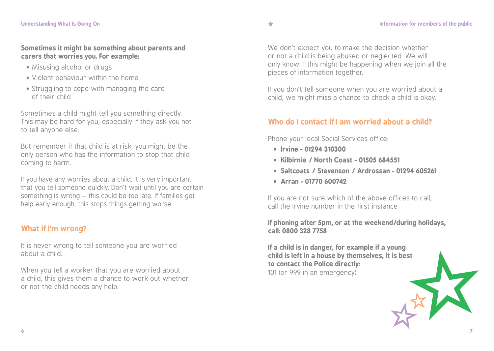**Sometimes it might be something about parents and carers that worries you. For example:**

- Misusing alcohol or drugs
- Violent behaviour within the home
- Struggling to cope with managing the care of their child

Sometimes a child might tell you something directly. This may be hard for you, especially if they ask you not to tell anyone else.

But remember if that child is at risk, you might be the only person who has the information to stop that child coming to harm.

If you have any worries about a child, it is very important that you tell someone quickly. Don't wait until you are certain something is wrong – this could be too late. If families get help early enough, this stops things getting worse.

### **What if I'm wrong?**

It is never wrong to tell someone you are worried about a child.

When you tell a worker that you are worried about a child, this gives them a chance to work out whether or not the child needs any help.

We don't expect you to make the decision whether or not a child is being abused or neglected. We will only know if this might be happening when we join all the pieces of information together.

If you don't tell someone when you are worried about a child, we might miss a chance to check a child is okay.

### **Who do I contact if I am worried about a child?**

Phone your local Social Services office:

- **Irvine - 01294 310300**
- **Kilbirnie / North Coast - 01505 684551**
- **Saltcoats / Stevenson / Ardrossan - 01294 605261**
- **Arran - 01770 600742**

If you are not sure which of the above offices to call, call the Irvine number in the first instance

**If phoning after 5pm, or at the weekend/during holidays, call: 0800 328 7758**

**If a child is in danger, for example if a young child is left in a house by themselves, it is best to contact the Police directly:**  101 (or 999 in an emergency)

**6 7**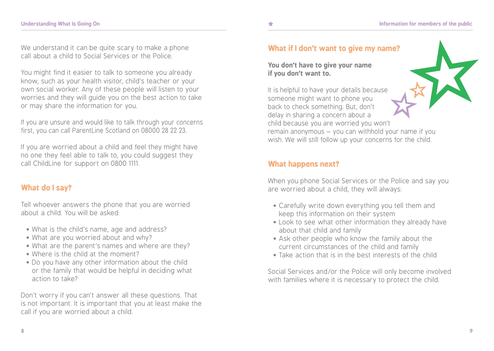We understand it can be quite scary to make a phone call about a child to Social Services or the Police.

You might find it easier to talk to someone you already know, such as your health visitor, child's teacher or your own social worker. Any of these people will listen to your worries and they will guide you on the best action to take or may share the information for you.

If you are unsure and would like to talk through your concerns first, you can call ParentLine Scotland on 08000 28 22 23.

If you are worried about a child and feel they might have no one they feel able to talk to, you could suggest they call ChildLine for support on 0800 1111.

### **What do I say?**

Tell whoever answers the phone that you are worried about a child. You will be asked:

- What is the child's name, age and address?
- What are you worried about and why?
- What are the parent's names and where are they?
- Where is the child at the moment?
- Do you have any other information about the child or the family that would be helpful in deciding what action to take?

Don't worry if you can't answer all these questions. That is not important. It is important that you at least make the call if you are worried about a child.

#### **You don't have to give your name if you don't want to.**

It is helpful to have your details because someone might want to phone you back to check something. But, don't delay in sharing a concern about a child because you are worried you won't remain anonymous – you can withhold your name if you wish. We will still follow up your concerns for the child.

### **What happens next?**

When you phone Social Services or the Police and say you are worried about a child, they will always:

- Carefully write down everything you tell them and keep this information on their system
- Look to see what other information they already have about that child and family
- Ask other people who know the family about the current circumstances of the child and family
- Take action that is in the best interests of the child

Social Services and/or the Police will only become involved with families where it is necessary to protect the child.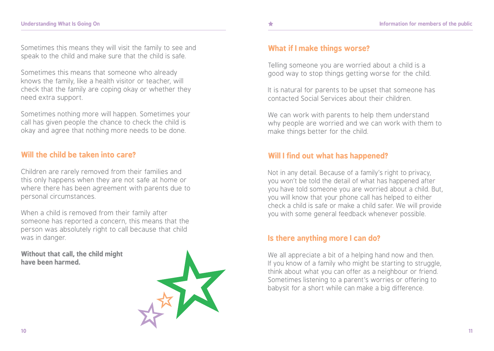Sometimes this means they will visit the family to see and speak to the child and make sure that the child is safe.

Sometimes this means that someone who already knows the family, like a health visitor or teacher, will check that the family are coping okay or whether they need extra support.

Sometimes nothing more will happen. Sometimes your call has given people the chance to check the child is okay and agree that nothing more needs to be done.

### **Will the child be taken into care?**

Children are rarely removed from their families and this only happens when they are not safe at home or where there has been agreement with parents due to personal circumstances.

When a child is removed from their family after someone has reported a concern, this means that the person was absolutely right to call because that child was in danger.

**Without that call, the child might have been harmed.** 



Telling someone you are worried about a child is a good way to stop things getting worse for the child.

It is natural for parents to be upset that someone has contacted Social Services about their children.

We can work with parents to help them understand why people are worried and we can work with them to make things better for the child.

### **Will I find out what has happened?**

Not in any detail. Because of a family's right to privacy, you won't be told the detail of what has happened after you have told someone you are worried about a child. But, you will know that your phone call has helped to either check a child is safe or make a child safer. We will provide you with some general feedback whenever possible.

### **Is there anything more I can do?**

We all appreciate a bit of a helping hand now and then. If you know of a family who might be starting to struggle, think about what you can offer as a neighbour or friend. Sometimes listening to a parent's worries or offering to babysit for a short while can make a big difference.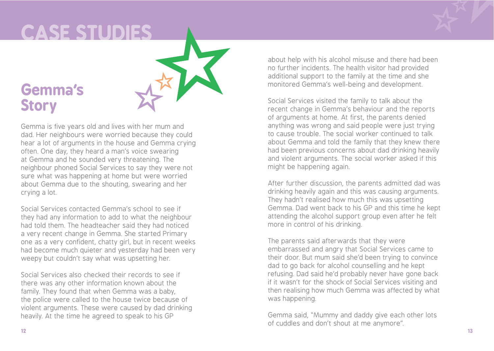## **UNDER IS GOING ON A PUBLICASE STUDIES**

### **Gemma's Story**



Gemma is five years old and lives with her mum and dad. Her neighbours were worried because they could hear a lot of arguments in the house and Gemma crying often. One day, they heard a man's voice swearing at Gemma and he sounded very threatening. The neighbour phoned Social Services to say they were not sure what was happening at home but were worried about Gemma due to the shouting, swearing and her crying a lot.

Social Services contacted Gemma's school to see if they had any information to add to what the neighbour had told them. The headteacher said they had noticed a very recent change in Gemma. She started Primary one as a very confident, chatty girl, but in recent weeks had become much quieter and yesterday had been very weepy but couldn't say what was upsetting her.

Social Services also checked their records to see if there was any other information known about the family. They found that when Gemma was a baby, the police were called to the house twice because of violent arguments. These were caused by dad drinking heavily. At the time he agreed to speak to his GP

about help with his alcohol misuse and there had been no further incidents. The health visitor had provided additional support to the family at the time and she monitored Gemma's well-being and development.

Social Services visited the family to talk about the recent change in Gemma's behaviour and the reports of arguments at home. At first, the parents denied anything was wrong and said people were just trying to cause trouble. The social worker continued to talk about Gemma and told the family that they knew there had been previous concerns about dad drinking heavily and violent arguments. The social worker asked if this might be happening again.

After further discussion, the parents admitted dad was drinking heavily again and this was causing arguments. They hadn't realised how much this was upsetting Gemma. Dad went back to his GP and this time he kept attending the alcohol support group even after he felt more in control of his drinking.

The parents said afterwards that they were embarrassed and angry that Social Services came to their door. But mum said she'd been trying to convince dad to go back for alcohol counselling and he kept refusing. Dad said he'd probably never have gone back if it wasn't for the shock of Social Services visiting and then realising how much Gemma was affected by what was happening.

Gemma said, "Mummy and daddy give each other lots of cuddles and don't shout at me anymore".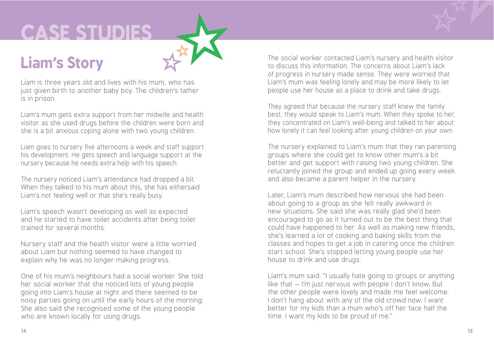# **UNDERS ON ONE STUDIES**

## **Liam's Story**

Liam is three years old and lives with his mum, who has just given birth to another baby boy. The children's father is in prison.

Liam's mum gets extra support from her midwife and health visitor as she used drugs before the children were born and she is a bit anxious coping alone with two young children.

Liam goes to nursery five afternoons a week and staff support his development. He gets speech and language support at the nursery because he needs extra help with his speech.

The nursery noticed Liam's attendance had dropped a bit. When they talked to his mum about this, she has eithersaid Liam's not feeling well or that she's really busy.

Liam's speech wasn't developing as well as expected and he started to have toilet accidents after being toilet trained for several months.

Nursery staff and the health visitor were a little worried about Liam but nothing seemed to have changed to explain why he was no longer making progress.

One of his mum's neighbours had a social worker. She told her social worker that she noticed lots of young people going into Liam's house at night and there seemed to be noisy parties going on until the early hours of the morning. She also said she recognised some of the young people who are known locally for using drugs.

The social worker contacted Liam's nursery and health visitor to discuss this information. The concerns about Liam's lack of progress in nursery made sense. They were worried that Liam's mum was feeling lonely and may be more likely to let people use her house as a place to drink and take drugs.

They agreed that because the nursery staff knew the family best, they would speak to Liam's mum. When they spoke to her, they concentrated on Liam's well-being and talked to her about how lonely it can feel looking after young children on your own.

The nursery explained to Liam's mum that they ran parenting groups where she could get to know other mum's a bit better and get support with raising two young children. She reluctantly joined the group and ended up going every week and also became a parent helper in the nursery.

Later, Liam's mum described how nervous she had been about going to a group as she felt really awkward in new situations. She said she was really glad she'd been encouraged to go as it turned out to be the best thing that could have happened to her. As well as making new friends, she's learned a lot of cooking and baking skills from the classes and hopes to get a job in catering once the children start school. She's stopped letting young people use her house to drink and use drugs.

Liam's mum said: "I usually hate going to groups or anything like that – I'm just nervous with people I don't know. But the other people were lovely and made me feel welcome. I don't hang about with any of the old crowd now. I want better for my kids than a mum who's off her face half the time. I want my kids to be proud of me."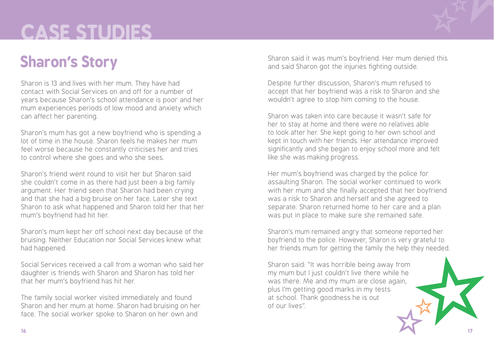# **UNDERS WHAT IS GOING ON A BUILDING ON A BUILDING ON A BUILDING ON A BUILDING ON A BUILDING OF THE PUBLICAT CONTINUES.**

## **Sharon's Story**

Sharon is 13 and lives with her mum. They have had contact with Social Services on and off for a number of years because Sharon's school attendance is poor and her mum experiences periods of low mood and anxiety which can affect her parenting.

Sharon's mum has got a new boyfriend who is spending a lot of time in the house. Sharon feels he makes her mum feel worse because he constantly criticises her and tries to control where she goes and who she sees.

Sharon's friend went round to visit her but Sharon said she couldn't come in as there had just been a big family argument. Her friend seen that Sharon had been crying and that she had a big bruise on her face. Later she text Sharon to ask what happened and Sharon told her that her mum's boyfriend had hit her.

Sharon's mum kept her off school next day because of the bruising. Neither Education nor Social Services knew what had happened.

Social Services received a call from a woman who said her daughter is friends with Sharon and Sharon has told her that her mum's boyfriend has hit her.

The family social worker visited immediately and found Sharon and her mum at home. Sharon had bruising on her face. The social worker spoke to Sharon on her own and

Sharon said it was mum's boyfriend. Her mum denied this and said Sharon got the injuries fighting outside.

Despite further discussion, Sharon's mum refused to accept that her boyfriend was a risk to Sharon and she wouldn't agree to stop him coming to the house.

Sharon was taken into care because it wasn't safe for her to stay at home and there were no relatives able to look after her. She kept going to her own school and kept in touch with her friends. Her attendance improved significantly and she began to enjoy school more and felt like she was making progress.

Her mum's boyfriend was charged by the police for assaulting Sharon. The social worker continued to work with her mum and she finally accepted that her boyfriend was a risk to Sharon and herself and she agreed to separate. Sharon returned home to her care and a plan was put in place to make sure she remained safe.

Sharon's mum remained angry that someone reported her boyfriend to the police. However, Sharon is very grateful to her friends mum for getting the family the help they needed.

Sharon said: "It was horrible being away from my mum but I just couldn't live there while he was there. Me and my mum are close again, plus I'm getting good marks in my tests at school. Thank goodness he is out of our lives".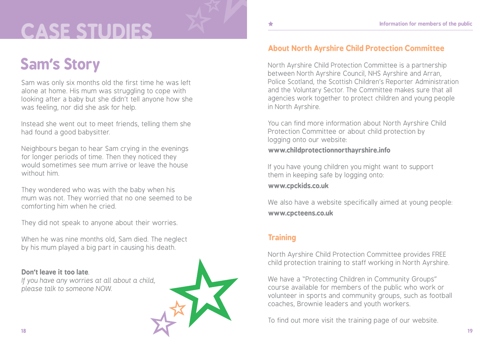# CASE STUDIES **And Alleger Manufacture CASE STUDIES**

## **Sam's Story**

Sam was only six months old the first time he was left alone at home. His mum was struggling to cope with looking after a baby but she didn't tell anyone how she was feeling, nor did she ask for help.

Instead she went out to meet friends, telling them she had found a good babysitter.

Neighbours began to hear Sam crying in the evenings for longer periods of time. Then they noticed they would sometimes see mum arrive or leave the house without him.

They wondered who was with the baby when his mum was not. They worried that no one seemed to be comforting him when he cried.

They did not speak to anyone about their worries.

When he was nine months old, Sam died. The neglect by his mum played a big part in causing his death.

### **Don't leave it too late**.

*If you have any worries at all about a child, please talk to someone NOW.*



### **About North Ayrshire Child Protection Committee**

North Ayrshire Child Protection Committee is a partnership between North Ayrshire Council, NHS Ayrshire and Arran, Police Scotland, the Scottish Children's Reporter Administration and the Voluntary Sector. The Committee makes sure that all agencies work together to protect children and young people in North Ayrshire.

You can find more information about North Ayrshire Child Protection Committee or about child protection by logging onto our website:

### **www.childprotectionnorthayrshire.info**

If you have young children you might want to support them in keeping safe by logging onto:

**www.cpckids.co.uk**

We also have a website specifically aimed at young people: **www.cpcteens.co.uk**

### **Training**

North Ayrshire Child Protection Committee provides FREE child protection training to staff working in North Ayrshire.

We have a "Protecting Children in Community Groups" course available for members of the public who work or volunteer in sports and community groups, such as football coaches, Brownie leaders and youth workers.

To find out more visit the training page of our website.